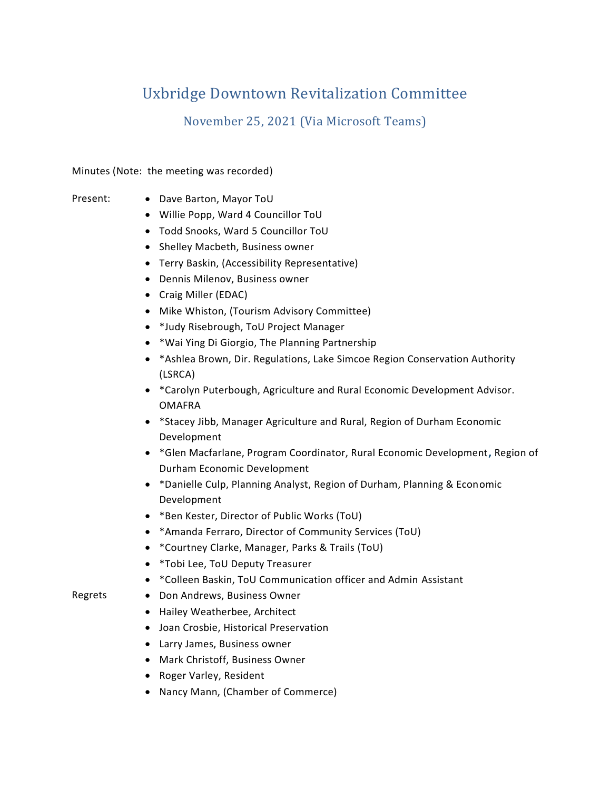# Uxbridge Downtown Revitalization Committee

November 25, 2021 (Via Microsoft Teams)

Minutes (Note: the meeting was recorded)

- 
- Present: Dave Barton, Mayor ToU
	- Willie Popp, Ward 4 Councillor ToU
	- Todd Snooks, Ward 5 Councillor ToU
	- Shelley Macbeth, Business owner
	- Terry Baskin, (Accessibility Representative)
	- Dennis Milenov, Business owner
	- Craig Miller (EDAC)
	- Mike Whiston, (Tourism Advisory Committee)
	- \*Judy Risebrough, ToU Project Manager
	- \*Wai Ying Di Giorgio, The Planning Partnership
	- \*Ashlea Brown, Dir. Regulations, Lake Simcoe Region Conservation Authority (LSRCA)
	- \*Carolyn Puterbough, Agriculture and Rural Economic Development Advisor. OMAFRA
	- \*Stacey Jibb, Manager Agriculture and Rural, Region of Durham Economic Development
	- \*Glen Macfarlane, Program Coordinator, Rural Economic Development**,** Region of Durham Economic Development
	- \*Danielle Culp, Planning Analyst, Region of Durham, Planning & Economic Development
	- \*Ben Kester, Director of Public Works (ToU)
	- \*Amanda Ferraro, Director of Community Services (ToU)
	- \*Courtney Clarke, Manager, Parks & Trails (ToU)
	- \*Tobi Lee, ToU Deputy Treasurer
	- \*Colleen Baskin, ToU Communication officer and Admin Assistant
- 
- Regrets Don Andrews, Business Owner
	- Hailey Weatherbee, Architect
	- Joan Crosbie, Historical Preservation
	- Larry James, Business owner
	- Mark Christoff, Business Owner
	- Roger Varley, Resident
	- Nancy Mann, (Chamber of Commerce)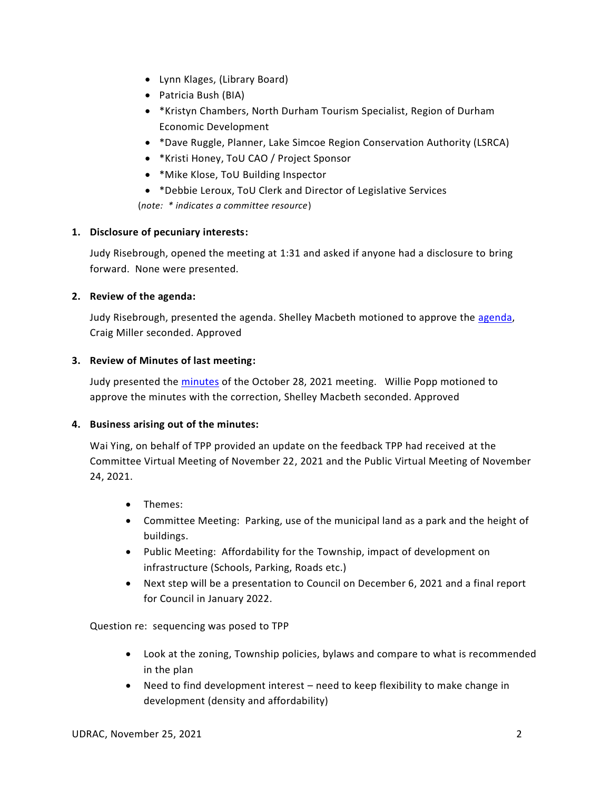- Lynn Klages, (Library Board)
- Patricia Bush (BIA)
- \*Kristyn Chambers, North Durham Tourism Specialist, Region of Durham Economic Development
- \*Dave Ruggle, Planner, Lake Simcoe Region Conservation Authority (LSRCA)
- \*Kristi Honey, ToU CAO / Project Sponsor
- \*Mike Klose, ToU Building Inspector
- \*Debbie Leroux, ToU Clerk and Director of Legislative Services (*note: \* indicates a committee resource*)

# **1. Disclosure of pecuniary interests:**

Judy Risebrough, opened the meeting at 1:31 and asked if anyone had a disclosure to bring forward. None were presented.

### **2. Review of the agenda:**

Judy Risebrough, presented the agenda. Shelley Macbeth motioned to approve the [agenda,](https://uxbridgetownship.sharepoint.com/:w:/s/UXMyUxbridgeDowntown/Ecd5mh8EepBFlw-tvLePrzYB0-caHCx6IAyfO7e-C6viRA?e=c4365L) Craig Miller seconded. Approved

### **3. Review of Minutes of last meeting:**

Judy presented the [minutes](https://uxbridgetownship.sharepoint.com/:w:/s/UXMyUxbridgeDowntown/EZ2ZPOKiw-NFhFCKDxNu2_MBL2wOmCYC1t_8ksxZ821h8Q?e=yWoo24) of the October 28, 2021 meeting. Willie Popp motioned to approve the minutes with the correction, Shelley Macbeth seconded. Approved

#### **4. Business arising out of the minutes:**

Wai Ying, on behalf of TPP provided an update on the feedback TPP had received at the Committee Virtual Meeting of November 22, 2021 and the Public Virtual Meeting of November 24, 2021.

- Themes:
- Committee Meeting: Parking, use of the municipal land as a park and the height of buildings.
- Public Meeting: Affordability for the Township, impact of development on infrastructure (Schools, Parking, Roads etc.)
- Next step will be a presentation to Council on December 6, 2021 and a final report for Council in January 2022.

## Question re: sequencing was posed to TPP

- Look at the zoning, Township policies, bylaws and compare to what is recommended in the plan
- Need to find development interest need to keep flexibility to make change in development (density and affordability)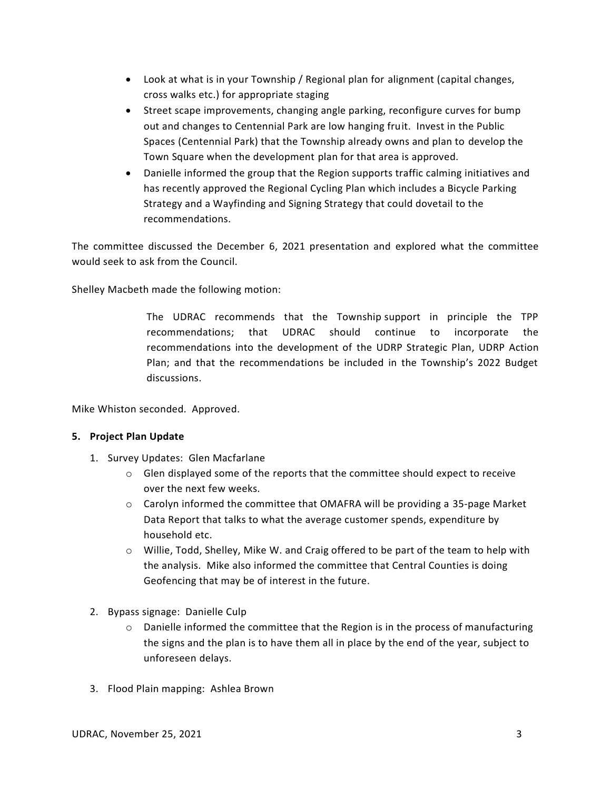- Look at what is in your Township / Regional plan for alignment (capital changes, cross walks etc.) for appropriate staging
- Street scape improvements, changing angle parking, reconfigure curves for bump out and changes to Centennial Park are low hanging fruit. Invest in the Public Spaces (Centennial Park) that the Township already owns and plan to develop the Town Square when the development plan for that area is approved.
- Danielle informed the group that the Region supports traffic calming initiatives and has recently approved the Regional Cycling Plan which includes a Bicycle Parking Strategy and a Wayfinding and Signing Strategy that could dovetail to the recommendations.

The committee discussed the December 6, 2021 presentation and explored what the committee would seek to ask from the Council.

Shelley Macbeth made the following motion:

The UDRAC recommends that the Township support in principle the TPP recommendations; that UDRAC should continue to incorporate the recommendations into the development of the UDRP Strategic Plan, UDRP Action Plan; and that the recommendations be included in the Township's 2022 Budget discussions.

Mike Whiston seconded. Approved.

#### **5. Project Plan Update**

- 1. Survey Updates: Glen Macfarlane
	- $\circ$  Glen displayed some of the reports that the committee should expect to receive over the next few weeks.
	- $\circ$  Carolyn informed the committee that OMAFRA will be providing a 35-page Market Data Report that talks to what the average customer spends, expenditure by household etc.
	- $\circ$  Willie, Todd, Shelley, Mike W. and Craig offered to be part of the team to help with the analysis. Mike also informed the committee that Central Counties is doing Geofencing that may be of interest in the future.
- 2. Bypass signage: Danielle Culp
	- $\circ$  Danielle informed the committee that the Region is in the process of manufacturing the signs and the plan is to have them all in place by the end of the year, subject to unforeseen delays.
- 3. Flood Plain mapping: Ashlea Brown